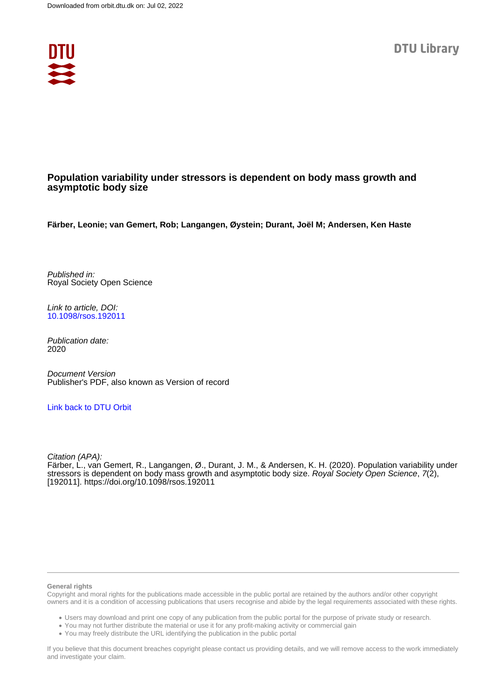

### **Population variability under stressors is dependent on body mass growth and asymptotic body size**

**Färber, Leonie; van Gemert, Rob; Langangen, Øystein; Durant, Joël M; Andersen, Ken Haste**

Published in: Royal Society Open Science

Link to article, DOI: [10.1098/rsos.192011](https://doi.org/10.1098/rsos.192011)

Publication date: 2020

Document Version Publisher's PDF, also known as Version of record

### [Link back to DTU Orbit](https://orbit.dtu.dk/en/publications/0f6344eb-9ea2-4412-8e17-10b38465bae3)

Citation (APA): Färber, L., van Gemert, R., Langangen, Ø., Durant, J. M., & Andersen, K. H. (2020). Population variability under stressors is dependent on body mass growth and asymptotic body size. Royal Society Open Science, 7(2), [192011].<https://doi.org/10.1098/rsos.192011>

#### **General rights**

Copyright and moral rights for the publications made accessible in the public portal are retained by the authors and/or other copyright owners and it is a condition of accessing publications that users recognise and abide by the legal requirements associated with these rights.

Users may download and print one copy of any publication from the public portal for the purpose of private study or research.

- You may not further distribute the material or use it for any profit-making activity or commercial gain
- You may freely distribute the URL identifying the publication in the public portal

If you believe that this document breaches copyright please contact us providing details, and we will remove access to the work immediately and investigate your claim.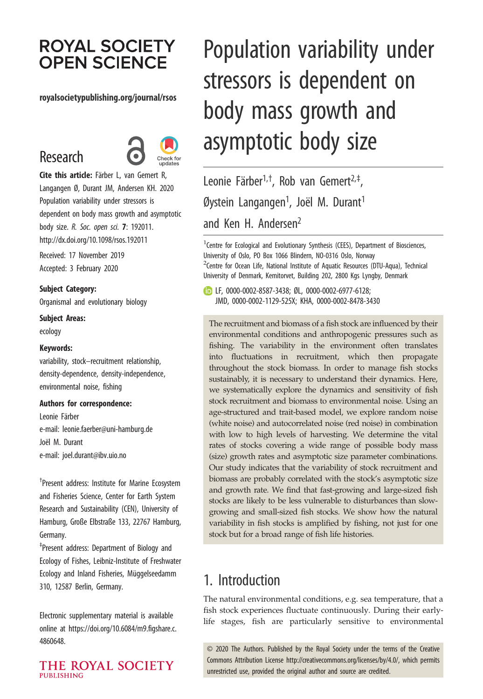# **ROYAL SOCIETY OPEN SCIENCE**

### royalsocietypublishing.org/journal/rsos

# Research



Cite this article: Färber L, van Gemert R, Langangen Ø, Durant JM, Andersen KH. 2020 Population variability under stressors is dependent on body mass growth and asymptotic body size. R. Soc. open sci. 7: 192011. http://dx.doi.org/10.1098/rsos.192011

Received: 17 November 2019 Accepted: 3 February 2020

Subject Category:

Organismal and evolutionary biology

Subject Areas:

ecology

### Keywords:

variability, stock–recruitment relationship, density-dependence, density-independence, environmental noise, fishing

Authors for correspondence:

Leonie Färber e-mail: [leonie.faerber@uni-hamburg.de](mailto:leonie.faerber@uni-hamburg.de) Joël M. Durant e-mail: [joel.durant@ibv.uio.no](mailto:joel.durant@ibv.uio.no)

† Present address: Institute for Marine Ecosystem and Fisheries Science, Center for Earth System Research and Sustainability (CEN), University of Hamburg, Große Elbstraße 133, 22767 Hamburg, Germany.

‡ Present address: Department of Biology and Ecology of Fishes, Leibniz-Institute of Freshwater Ecology and Inland Fisheries, Müggelseedamm 310, 12587 Berlin, Germany.

Electronic supplementary material is available online at [https://doi.org/10.6084/m9.figshare.c.](https://doi.org/10.6084/m9.figshare.c.4860648) [4860648.](https://doi.org/10.6084/m9.figshare.c.4860648)

THE ROYAL SOCIETY PURLISHING

# Population variability under stressors is dependent on body mass growth and asymptotic body size

Leonie Färber<sup>1,†</sup>, Rob van Gemert<sup>2,‡</sup> , Øystein Langangen<sup>1</sup>, Joël M. Durant<sup>1</sup> and Ken H. Andersen<sup>2</sup>

<sup>1</sup> Centre for Ecological and Evolutionary Synthesis (CEES), Department of Biosciences, University of Oslo, PO Box 1066 Blindern, NO-0316 Oslo, Norway <sup>2</sup> Centre for Ocean Life, National Institute of Aquatic Resources (DTU-Aqua), Technical University of Denmark, Kemitorvet, Building 202, 2800 Kgs Lyngby, Denmark

LF, [0000-0002-8587-3438;](http://orcid.org/0000-0002-8587-3438) ØL, [0000-0002-6977-6128;](http://orcid.org/0000-0002-6977-6128) JMD, [0000-0002-1129-525X](http://orcid.org/0000-0002-1129-525X); KHA, [0000-0002-8478-3430](http://orcid.org/0000-0002-8478-3430)

The recruitment and biomass of a fish stock are influenced by their environmental conditions and anthropogenic pressures such as fishing. The variability in the environment often translates into fluctuations in recruitment, which then propagate throughout the stock biomass. In order to manage fish stocks sustainably, it is necessary to understand their dynamics. Here, we systematically explore the dynamics and sensitivity of fish stock recruitment and biomass to environmental noise. Using an age-structured and trait-based model, we explore random noise (white noise) and autocorrelated noise (red noise) in combination with low to high levels of harvesting. We determine the vital rates of stocks covering a wide range of possible body mass (size) growth rates and asymptotic size parameter combinations. Our study indicates that the variability of stock recruitment and biomass are probably correlated with the stock's asymptotic size and growth rate. We find that fast-growing and large-sized fish stocks are likely to be less vulnerable to disturbances than slowgrowing and small-sized fish stocks. We show how the natural variability in fish stocks is amplified by fishing, not just for one stock but for a broad range of fish life histories.

## 1. Introduction

The natural environmental conditions, e.g. sea temperature, that a fish stock experiences fluctuate continuously. During their earlylife stages, fish are particularly sensitive to environmental

© 2020 The Authors. Published by the Royal Society under the terms of the Creative Commons Attribution License<http://creativecommons.org/licenses/by/4.0/>, which permits unrestricted use, provided the original author and source are credited.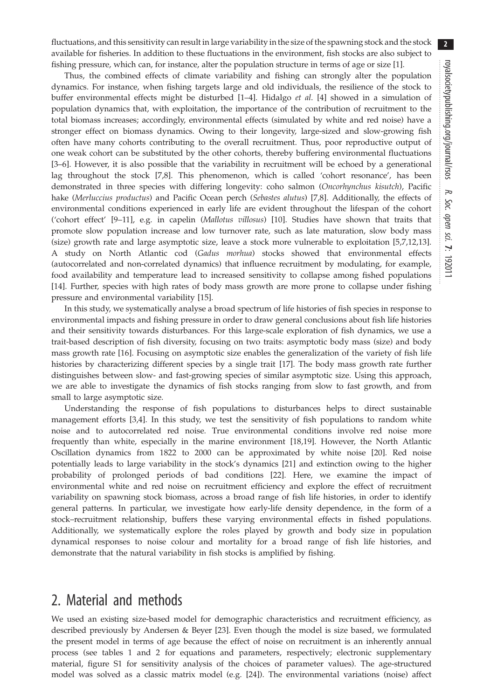2

fluctuations, and this sensitivity can result in large variability in the size of the spawning stock and the stock available for fisheries. In addition to these fluctuations in the environment, fish stocks are also subject to fishing pressure, which can, for instance, alter the population structure in terms of age or size [[1](#page-10-0)].

Thus, the combined effects of climate variability and fishing can strongly alter the population dynamics. For instance, when fishing targets large and old individuals, the resilience of the stock to buffer environmental effects might be disturbed [[1](#page-10-0)–[4](#page-10-0)]. Hidalgo et al. [4] showed in a simulation of population dynamics that, with exploitation, the importance of the contribution of recruitment to the total biomass increases; accordingly, environmental effects (simulated by white and red noise) have a stronger effect on biomass dynamics. Owing to their longevity, large-sized and slow-growing fish often have many cohorts contributing to the overall recruitment. Thus, poor reproductive output of one weak cohort can be substituted by the other cohorts, thereby buffering environmental fluctuations [\[3](#page-10-0)–[6\]](#page-10-0). However, it is also possible that the variability in recruitment will be echoed by a generational lag throughout the stock [[7,8\]](#page-10-0). This phenomenon, which is called 'cohort resonance', has been demonstrated in three species with differing longevity: coho salmon (Oncorhynchus kisutch), Pacific hake (Merluccius productus) and Pacific Ocean perch (Sebastes alutus) [[7](#page-10-0),[8](#page-10-0)]. Additionally, the effects of environmental conditions experienced in early life are evident throughout the lifespan of the cohort ('cohort effect' [\[9](#page-10-0)–[11\]](#page-10-0), e.g. in capelin (Mallotus villosus) [\[10](#page-10-0)]. Studies have shown that traits that promote slow population increase and low turnover rate, such as late maturation, slow body mass (size) growth rate and large asymptotic size, leave a stock more vulnerable to exploitation [[5,7,12,13](#page-10-0)]. A study on North Atlantic cod (Gadus morhua) stocks showed that environmental effects (autocorrelated and non-correlated dynamics) that influence recruitment by modulating, for example, food availability and temperature lead to increased sensitivity to collapse among fished populations [\[14](#page-10-0)]. Further, species with high rates of body mass growth are more prone to collapse under fishing pressure and environmental variability [[15\]](#page-10-0).

In this study, we systematically analyse a broad spectrum of life histories of fish species in response to environmental impacts and fishing pressure in order to draw general conclusions about fish life histories and their sensitivity towards disturbances. For this large-scale exploration of fish dynamics, we use a trait-based description of fish diversity, focusing on two traits: asymptotic body mass (size) and body mass growth rate [[16\]](#page-10-0). Focusing on asymptotic size enables the generalization of the variety of fish life histories by characterizing different species by a single trait [[17\]](#page-10-0). The body mass growth rate further distinguishes between slow- and fast-growing species of similar asymptotic size. Using this approach, we are able to investigate the dynamics of fish stocks ranging from slow to fast growth, and from small to large asymptotic size.

Understanding the response of fish populations to disturbances helps to direct sustainable management efforts [[3](#page-10-0),[4](#page-10-0)]. In this study, we test the sensitivity of fish populations to random white noise and to autocorrelated red noise. True environmental conditions involve red noise more frequently than white, especially in the marine environment [[18,19\]](#page-10-0). However, the North Atlantic Oscillation dynamics from 1822 to 2000 can be approximated by white noise [\[20](#page-10-0)]. Red noise potentially leads to large variability in the stock's dynamics [[21\]](#page-10-0) and extinction owing to the higher probability of prolonged periods of bad conditions [\[22](#page-10-0)]. Here, we examine the impact of environmental white and red noise on recruitment efficiency and explore the effect of recruitment variability on spawning stock biomass, across a broad range of fish life histories, in order to identify general patterns. In particular, we investigate how early-life density dependence, in the form of a stock–recruitment relationship, buffers these varying environmental effects in fished populations. Additionally, we systematically explore the roles played by growth and body size in population dynamical responses to noise colour and mortality for a broad range of fish life histories, and demonstrate that the natural variability in fish stocks is amplified by fishing.

## 2. Material and methods

We used an existing size-based model for demographic characteristics and recruitment efficiency, as described previously by Andersen & Beyer [\[23](#page-10-0)]. Even though the model is size based, we formulated the present model in terms of age because the effect of noise on recruitment is an inherently annual process (see tables [1](#page-3-0) and [2](#page-4-0) for equations and parameters, respectively; electronic supplementary material, figure S1 for sensitivity analysis of the choices of parameter values). The age-structured model was solved as a classic matrix model (e.g. [[24\]](#page-10-0)). The environmental variations (noise) affect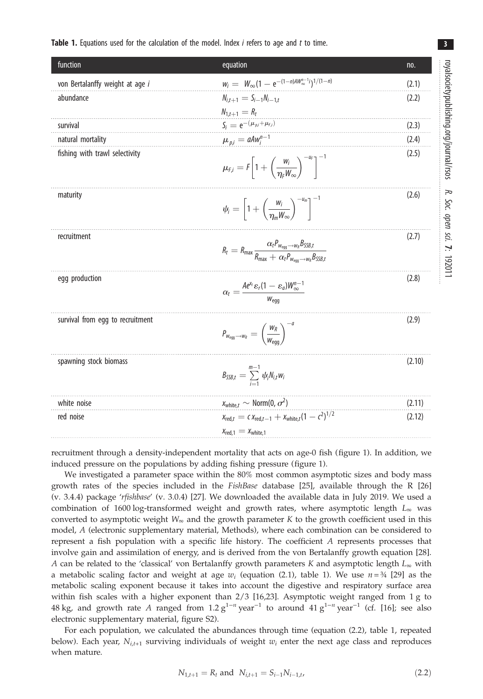### <span id="page-3-0"></span>**Table 1.** Equations used for the calculation of the model. Index *i* refers to age and *t* to time.

| function                         | equation                                                                                                                                                                   | no.    |
|----------------------------------|----------------------------------------------------------------------------------------------------------------------------------------------------------------------------|--------|
| von Bertalanffy weight at age i  | $w_i = W_{\infty} (1 - e^{-(1-n)AW_{\infty}^{n-1}i})^{1/(1-n)}$                                                                                                            | (2.1)  |
| abundance                        | $N_{i,t+1} = S_{i-1}N_{i-1,t}$                                                                                                                                             | (2.2)  |
|                                  | $N_{1t+1} = R_t$                                                                                                                                                           |        |
| survival                         | $S_i = e^{-(\mu_{p,i} + \mu_{f,i})}$                                                                                                                                       | (2.3)  |
| natural mortality                | $\mu_{p,i} = aAw_i^{n-1}$                                                                                                                                                  | (2.4)  |
| fishing with trawl selectivity   | $\mu_{f,i} = F \left[ 1 + \left( \frac{w_i}{n_c W_{\infty}} \right)^{-u_f} \right]^{-1}$                                                                                   | (2.5)  |
| maturity                         | $\psi_i = \left[1 + \left(\frac{w_i}{n_w w_w}\right)^{-u_m}\right]^{-1}$                                                                                                   | (2.6)  |
| recruitment                      | $R_t = R_{\text{max}} \frac{\alpha_t P_{W_{\text{egg}} \rightarrow W_R} B_{\text{SSB},t}}{R_{\text{max}} + \alpha_t P_{W_{\text{enon}} \rightarrow W_R} B_{\text{SSB},t}}$ | (2.7)  |
| egg production                   | $\alpha_t = \frac{A e^{x_t} \varepsilon_r (1 - \varepsilon_a) W_{\infty}^{n-1}}{W_{\text{eq}}^n}$                                                                          | (2.8)  |
| survival from egg to recruitment | $P_{W_{\text{egg}} \rightarrow W_R} = \left(\frac{W_R}{W_{\text{eqg}}} \right)^{-\alpha}$                                                                                  | (2.9)  |
| spawning stock biomass           | $B_{SSB,t} = \sum_{i=1}^{m-1} \psi_i N_{i,t} w_i$                                                                                                                          | (2.10) |
| white noise                      | $x_{\text{white},t} \sim \text{Norm}(0, \sigma^2)$                                                                                                                         | (2.11) |
| red noise                        | $X_{\text{red},t} = c X_{\text{red},t-1} + X_{\text{white},t} (1 - c^2)^{1/2}$<br>$X_{\text{red.1}} = X_{\text{white.1}}$                                                  | (2.12) |

recruitment through a density-independent mortality that acts on age-0 fish [\(figure 1\)](#page-5-0). In addition, we induced pressure on the populations by adding fishing pressure ([figure 1](#page-5-0)).

We investigated a parameter space within the 80% most common asymptotic sizes and body mass growth rates of the species included in the FishBase database [\[25](#page-10-0)], available through the R [[26\]](#page-10-0) (v. 3.4.4) package 'rfishbase' (v. 3.0.4) [[27\]](#page-10-0). We downloaded the available data in July 2019. We used a combination of 1600 log-transformed weight and growth rates, where asymptotic length  $L_{\infty}$  was converted to asymptotic weight  $W_{\infty}$  and the growth parameter K to the growth coefficient used in this model, A (electronic supplementary material, Methods), where each combination can be considered to represent a fish population with a specific life history. The coefficient A represents processes that involve gain and assimilation of energy, and is derived from the von Bertalanffy growth equation [\[28](#page-10-0)]. A can be related to the 'classical' von Bertalanffy growth parameters K and asymptotic length  $L_{\infty}$  with a metabolic scaling factor and weight at age  $w_i$  (equation (2.1), table 1). We use  $n = \frac{3}{4}$  [\[29](#page-10-0)] as the metabolic scaling exponent because it takes into account the digestive and respiratory surface area within fish scales with a higher exponent than  $2/3$  [\[16](#page-10-0),[23\]](#page-10-0). Asymptotic weight ranged from 1 g to 48 kg, and growth rate A ranged from 1.2  $g^{1-n}$  year<sup>-1</sup> to around 41  $g^{1-n}$  year<sup>-1</sup> (cf. [\[16](#page-10-0)]; see also electronic supplementary material, figure S2).

For each population, we calculated the abundances through time (equation (2.2), table 1, repeated below). Each year,  $N_{i,t+1}$  surviving individuals of weight  $w_i$  enter the next age class and reproduces when mature.

$$
N_{1,t+1} = R_t \text{ and } N_{i,t+1} = S_{i-1} N_{i-1,t},
$$
\n(2.2)

royalsocietypublishing.org/journal/rsos

R. Soc. opensci.

7: 192011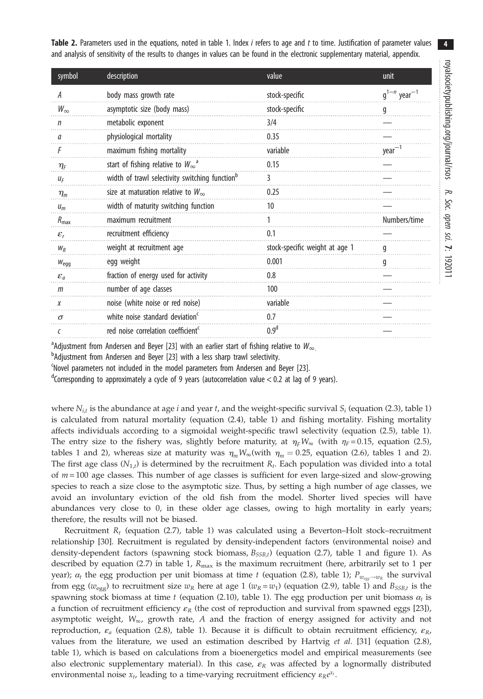4

<span id="page-4-0"></span>Table 2. Parameters used in the equations, noted in [table 1](#page-3-0). Index *i* refers to age and t to time. Justification of parameter values and analysis of sensitivity of the results to changes in values can be found in the electronic supplementary material, appendix.

| symbol                               | description                                                | value                          | unit                         |
|--------------------------------------|------------------------------------------------------------|--------------------------------|------------------------------|
| А                                    | body mass growth rate                                      | stock-specific                 | $q^{1-n}$ year <sup>-1</sup> |
| $W_{\infty}$                         | asymptotic size (body mass)                                | stock-specific                 | g                            |
| n                                    | metabolic exponent                                         | 3/4                            |                              |
| л                                    | physiological mortality                                    | 0.35                           |                              |
|                                      | maximum fishing mortality                                  | variable                       | $year-1$                     |
| $\eta_{\scriptscriptstyle \text{F}}$ | start of fishing relative to $W_{\infty}^{\alpha}$         | 0.15                           |                              |
| ИF                                   | width of trawl selectivity switching function <sup>b</sup> | 3                              |                              |
| $\eta_m$                             | size at maturation relative to $W_{\infty}$                | 0.25                           |                              |
| $u_m$                                | width of maturity switching function                       | 10                             |                              |
| $R_{\text{max}}$                     | maximum recruitment                                        |                                | Numbers/time                 |
| $\varepsilon_{r}$                    | recruitment efficiency                                     | 0.1                            |                              |
| $W_R$                                | weight at recruitment age                                  | stock-specific weight at age 1 | q                            |
| $W_{\text{eq}}$                      | egg weight                                                 | 0.001                          | g                            |
| $\varepsilon_a$                      | fraction of energy used for activity                       | 0.8                            |                              |
| $m$                                  | number of age classes                                      | 100                            |                              |
| X                                    | noise (white noise or red noise)                           | variable                       |                              |
| $\sigma$                             | white noise standard deviation <sup>c</sup>                | 0.7                            |                              |
| C                                    | red noise correlation coefficient <sup>c</sup>             | 0.9 <sup>d</sup>               |                              |

<sup>a</sup> Adjustment from Andersen and Beyer [[23](#page-10-0)] with an earlier start of fishing relative to  $W_{\infty}$ .

<sup>b</sup>Adjustment from Andersen and Beyer [\[23\]](#page-10-0) with a less sharp trawl selectivity.

c Novel parameters not included in the model parameters from Andersen and Beyer [\[23\]](#page-10-0).

<sup>d</sup>Corresponding to approximately a cycle of 9 years (autocorrelation value < 0.2 at lag of 9 years).

where  $N_{i,t}$  is the abundance at age i and year t, and the weight-specific survival  $S_i$  (equation (2.3), [table 1\)](#page-3-0) is calculated from natural mortality (equation (2.4), [table 1](#page-3-0)) and fishing mortality. Fishing mortality affects individuals according to a sigmoidal weight-specific trawl selectivity (equation (2.5), [table 1](#page-3-0)). The entry size to the fishery was, slightly before maturity, at  $\eta_F W_{\infty}$  (with  $\eta_F = 0.15$ , equation (2.5), tables [1](#page-3-0) and 2), whereas size at maturity was  $\eta_m W_\infty$ (with  $\eta_m = 0.25$ , equation (2.6), tables 1 and 2). The first age class  $(N_{1,t})$  is determined by the recruitment  $R_t$ . Each population was divided into a total of  $m = 100$  age classes. This number of age classes is sufficient for even large-sized and slow-growing species to reach a size close to the asymptotic size. Thus, by setting a high number of age classes, we avoid an involuntary eviction of the old fish from the model. Shorter lived species will have abundances very close to 0, in these older age classes, owing to high mortality in early years; therefore, the results will not be biased.

Recruitment  $R_t$  (equation (2.7), [table 1](#page-3-0)) was calculated using a Beverton–Holt stock–recruitment relationship [[30\]](#page-10-0). Recruitment is regulated by density-independent factors (environmental noise) and density-dependent factors (spawning stock biomass,  $B_{SSB,t}$ ) (equation (2.7), [table 1](#page-3-0) and [figure 1](#page-5-0)). As described by equation (2.7) in [table 1,](#page-3-0)  $R_{\text{max}}$  is the maximum recruitment (here, arbitrarily set to 1 per year);  $\alpha_t$  the egg production per unit biomass at time t (equation (2.8), [table 1\)](#page-3-0);  $P_{w_{\text{cov}} \to w_R}$  the survival from egg ( $w_{\text{egg}}$ ) to recruitment size  $w_R$  here at age 1 ( $w_R = w_1$ ) (equation (2.9), [table 1\)](#page-3-0) and  $B_{SSB,t}$  is the spawning stock biomass at time t (equation (2.10), [table 1](#page-3-0)). The egg production per unit biomass  $\alpha_t$  is a function of recruitment efficiency  $\varepsilon_R$  (the cost of reproduction and survival from spawned eggs [\[23](#page-10-0)]), asymptotic weight,  $W_{\infty}$ , growth rate, A and the fraction of energy assigned for activity and not reproduction,  $\varepsilon_a$  (equation (2.8), [table 1\)](#page-3-0). Because it is difficult to obtain recruitment efficiency,  $\varepsilon_R$ , values from the literature, we used an estimation described by Hartvig et al. [[31\]](#page-10-0) (equation (2.8), [table 1\)](#page-3-0), which is based on calculations from a bioenergetics model and empirical measurements (see also electronic supplementary material). In this case,  $\varepsilon_R$  was affected by a lognormally distributed environmental noise  $x_t$ , leading to a time-varying recruitment efficiency  $\varepsilon_R e^{x_t}$ .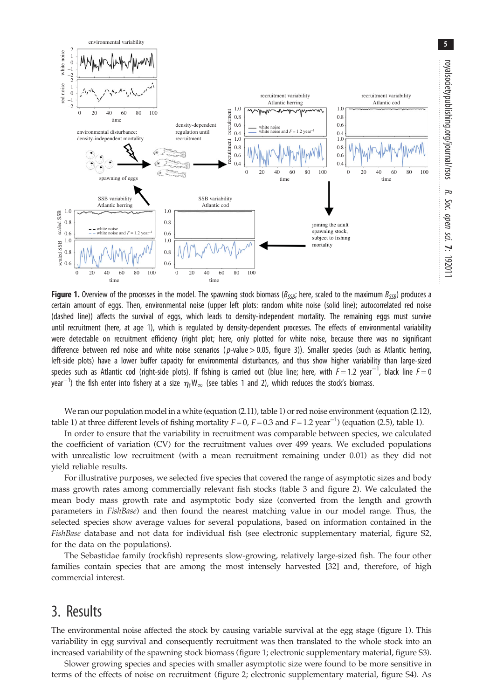<span id="page-5-0"></span>

Figure 1. Overview of the processes in the model. The spawning stock biomass ( $B_{SSB}$ ; here, scaled to the maximum  $B_{SSB}$ ) produces a certain amount of eggs. Then, environmental noise (upper left plots: random white noise (solid line); autocorrelated red noise (dashed line)) affects the survival of eggs, which leads to density-independent mortality. The remaining eggs must survive until recruitment (here, at age 1), which is regulated by density-dependent processes. The effects of environmental variability were detectable on recruitment efficiency (right plot; here, only plotted for white noise, because there was no significant difference between red noise and white noise scenarios ( $p$ -value > 0.05, [figure 3\)](#page-8-0)). Smaller species (such as Atlantic herring, left-side plots) have a lower buffer capacity for environmental disturbances, and thus show higher variability than large-sized species such as Atlantic cod (right-side plots). If fishing is carried out (blue line; here, with  $F=1.2$  year $^{-1}$ , black line  $F=0$ year $^{-1}$ ) the fish enter into fishery at a size  $\eta_{\rm F}W_\infty$  (see tables [1](#page-3-0) and [2](#page-4-0)), which reduces the stock's biomass.

We ran our population model in a white (equation (2.11), [table 1\)](#page-3-0) or red noise environment (equation (2.12), [table 1\)](#page-3-0) at three different levels of fishing mortality  $F = 0$ ,  $F = 0.3$  and  $F = 1.2$  year<sup>-1</sup>) (equation (2.5), [table 1](#page-3-0)).

In order to ensure that the variability in recruitment was comparable between species, we calculated the coefficient of variation (CV) for the recruitment values over 499 years. We excluded populations with unrealistic low recruitment (with a mean recruitment remaining under 0.01) as they did not yield reliable results.

For illustrative purposes, we selected five species that covered the range of asymptotic sizes and body mass growth rates among commercially relevant fish stocks ([table 3](#page-6-0) and [figure 2\)](#page-7-0). We calculated the mean body mass growth rate and asymptotic body size (converted from the length and growth parameters in FishBase) and then found the nearest matching value in our model range. Thus, the selected species show average values for several populations, based on information contained in the FishBase database and not data for individual fish (see electronic supplementary material, figure S2, for the data on the populations).

The Sebastidae family (rockfish) represents slow-growing, relatively large-sized fish. The four other families contain species that are among the most intensely harvested [[32\]](#page-10-0) and, therefore, of high commercial interest.

### 3. Results

The environmental noise affected the stock by causing variable survival at the egg stage (figure 1). This variability in egg survival and consequently recruitment was then translated to the whole stock into an increased variability of the spawning stock biomass (figure 1; electronic supplementary material, figure S3).

Slower growing species and species with smaller asymptotic size were found to be more sensitive in terms of the effects of noise on recruitment [\(figure 2;](#page-7-0) electronic supplementary material, figure S4). As Soc.

sci.

7: 192011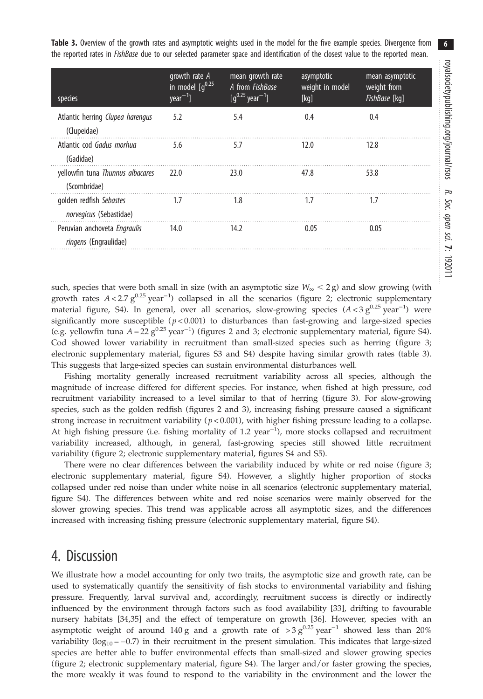<span id="page-6-0"></span>Table 3. Overview of the growth rates and asymptotic weights used in the model for the five example species. Divergence from the reported rates in *FishBase* due to our selected parameter space and identification of the closest value to the reported mean.

| species                                                      | growth rate $A$<br>in model $[g^{0.25}]$<br>$year-1$ ] | mean growth rate<br>A from FishBase<br>$[q^{0.25}$ year <sup>-1</sup> ] | asymptotic<br>weight in model<br>[kq] | mean asymptotic<br>weight from<br>FishBase [kq] |
|--------------------------------------------------------------|--------------------------------------------------------|-------------------------------------------------------------------------|---------------------------------------|-------------------------------------------------|
| Atlantic herring Clupea harengus<br>(Clupeidae)              | 5.2                                                    | 5.4                                                                     | 0.4                                   | 0.4                                             |
| Atlantic cod Gadus morhua<br>(Gadidae)                       | 5.6                                                    | 5.7                                                                     | 12.0                                  | 12.8                                            |
| yellowfin tuna Thunnus albacares<br>(Scombridae)             | 22.0                                                   | 23.0                                                                    | 47.8                                  | 53.8                                            |
| golden redfish Sebastes<br>norvegicus (Sebastidae)           | 1.7                                                    | 1.8                                                                     | 1.7                                   | 1.7                                             |
| Peruvian anchoveta Engraulis<br><i>ringens</i> (Engraulidae) | 14.0                                                   | 14.2                                                                    | 0.05                                  | 0.05                                            |

such, species that were both small in size (with an asymptotic size  $W_{\infty} < 2g$ ) and slow growing (with growth rates  $A < 2.7 g^{0.25}$  year<sup>-1</sup>) collapsed in all the scenarios ([figure 2](#page-7-0); electronic supplementary material figure, S4). In general, over all scenarios, slow-growing species  $(A < 3 g^{0.25}$  year<sup>-1</sup>) were significantly more susceptible ( $p < 0.001$ ) to disturbances than fast-growing and large-sized species (e.g. yellowfin tuna  $A = 22 g^{0.25}$  $A = 22 g^{0.25}$  $A = 22 g^{0.25}$  year<sup>-1</sup>) (figures 2 and [3](#page-8-0); electronic supplementary material, figure S4). Cod showed lower variability in recruitment than small-sized species such as herring ([figure 3](#page-8-0); electronic supplementary material, figures S3 and S4) despite having similar growth rates (table 3). This suggests that large-sized species can sustain environmental disturbances well.

Fishing mortality generally increased recruitment variability across all species, although the magnitude of increase differed for different species. For instance, when fished at high pressure, cod recruitment variability increased to a level similar to that of herring [\(figure 3](#page-8-0)). For slow-growing species, such as the golden redfish (figures [2](#page-7-0) and [3](#page-8-0)), increasing fishing pressure caused a significant strong increase in recruitment variability  $(p < 0.001)$ , with higher fishing pressure leading to a collapse. At high fishing pressure (i.e. fishing mortality of 1.2 year<sup>-1</sup>), more stocks collapsed and recruitment variability increased, although, in general, fast-growing species still showed little recruitment variability ([figure 2](#page-7-0); electronic supplementary material, figures S4 and S5).

There were no clear differences between the variability induced by white or red noise ([figure 3](#page-8-0); electronic supplementary material, figure S4). However, a slightly higher proportion of stocks collapsed under red noise than under white noise in all scenarios (electronic supplementary material, figure S4). The differences between white and red noise scenarios were mainly observed for the slower growing species. This trend was applicable across all asymptotic sizes, and the differences increased with increasing fishing pressure (electronic supplementary material, figure S4).

## 4. Discussion

We illustrate how a model accounting for only two traits, the asymptotic size and growth rate, can be used to systematically quantify the sensitivity of fish stocks to environmental variability and fishing pressure. Frequently, larval survival and, accordingly, recruitment success is directly or indirectly influenced by the environment through factors such as food availability [\[33](#page-10-0)], drifting to favourable nursery habitats [[34,35](#page-10-0)] and the effect of temperature on growth [[36\]](#page-10-0). However, species with an asymptotic weight of around 140 g and a growth rate of >3  $g^{0.25}$  year<sup>-1</sup> showed less than 20% variability ( $log_{10} = -0.7$ ) in their recruitment in the present simulation. This indicates that large-sized species are better able to buffer environmental effects than small-sized and slower growing species [\(figure 2](#page-7-0); electronic supplementary material, figure S4). The larger and/or faster growing the species, the more weakly it was found to respond to the variability in the environment and the lower the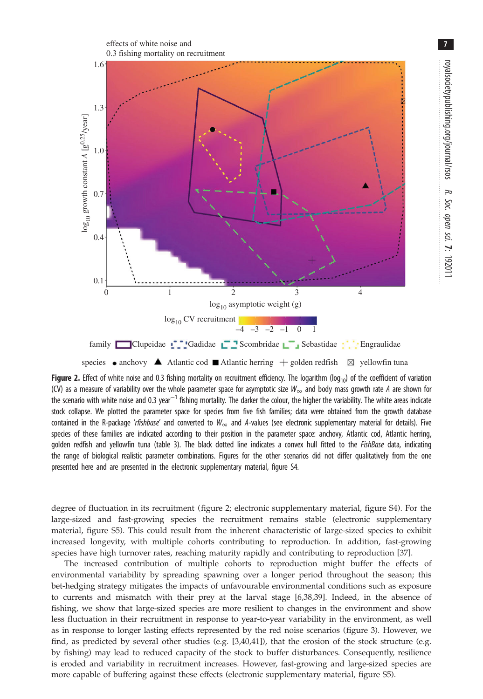<span id="page-7-0"></span>

species • anchovy **A** Atlantic cod **M** Atlantic herring  $+$  golden redfish  $\boxtimes$  yellowfin tuna

**Figure 2.** Effect of white noise and 0.3 fishing mortality on recruitment efficiency. The logarithm (log<sub>10</sub>) of the coefficient of variation (CV) as a measure of variability over the whole parameter space for asymptotic size  $W_{\infty}$  and body mass growth rate A are shown for the scenario with white noise and 0.3 year<sup>-1</sup> fishing mortality. The darker the colour, the higher the variability. The white areas indicate stock collapse. We plotted the parameter space for species from five fish families; data were obtained from the growth database contained in the R-package 'rfishbase' and converted to  $W_{\infty}$  and A-values (see electronic supplementary material for details). Five species of these families are indicated according to their position in the parameter space: anchovy, Atlantic cod, Atlantic herring, golden redfish and yellowfin tuna [\(table 3](#page-6-0)). The black dotted line indicates a convex hull fitted to the FishBase data, indicating the range of biological realistic parameter combinations. Figures for the other scenarios did not differ qualitatively from the one presented here and are presented in the electronic supplementary material, figure S4.

degree of fluctuation in its recruitment (figure 2; electronic supplementary material, figure S4). For the large-sized and fast-growing species the recruitment remains stable (electronic supplementary material, figure S5). This could result from the inherent characteristic of large-sized species to exhibit increased longevity, with multiple cohorts contributing to reproduction. In addition, fast-growing species have high turnover rates, reaching maturity rapidly and contributing to reproduction [\[37](#page-10-0)].

The increased contribution of multiple cohorts to reproduction might buffer the effects of environmental variability by spreading spawning over a longer period throughout the season; this bet-hedging strategy mitigates the impacts of unfavourable environmental conditions such as exposure to currents and mismatch with their prey at the larval stage [[6,38](#page-10-0),[39\]](#page-10-0). Indeed, in the absence of fishing, we show that large-sized species are more resilient to changes in the environment and show less fluctuation in their recruitment in response to year-to-year variability in the environment, as well as in response to longer lasting effects represented by the red noise scenarios ([figure 3](#page-8-0)). However, we find, as predicted by several other studies (e.g. [[3](#page-10-0),[40,41\]](#page-10-0)), that the erosion of the stock structure (e.g. by fishing) may lead to reduced capacity of the stock to buffer disturbances. Consequently, resilience is eroded and variability in recruitment increases. However, fast-growing and large-sized species are more capable of buffering against these effects (electronic supplementary material, figure S5).

7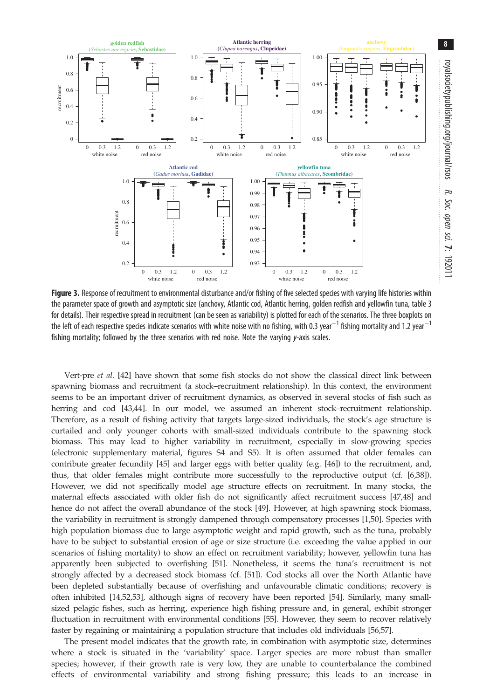8

<span id="page-8-0"></span>

Figure 3. Response of recruitment to environmental disturbance and/or fishing of five selected species with varying life histories within the parameter space of growth and asymptotic size (anchovy, Atlantic cod, Atlantic herring, golden redfish and yellowfin tuna, [table 3](#page-6-0) for details). Their respective spread in recruitment (can be seen as variability) is plotted for each of the scenarios. The three boxplots on the left of each respective species indicate scenarios with white noise with no fishing, with 0.3 year $^{-1}$  fishing mortality and 1.2 year $^{-1}$ fishing mortality; followed by the three scenarios with red noise. Note the varying y-axis scales.

Vert-pre et al. [\[42\]](#page-10-0) have shown that some fish stocks do not show the classical direct link between spawning biomass and recruitment (a stock–recruitment relationship). In this context, the environment seems to be an important driver of recruitment dynamics, as observed in several stocks of fish such as herring and cod [\[43,44\]](#page-10-0). In our model, we assumed an inherent stock–recruitment relationship. Therefore, as a result of fishing activity that targets large-sized individuals, the stock's age structure is curtailed and only younger cohorts with small-sized individuals contribute to the spawning stock biomass. This may lead to higher variability in recruitment, especially in slow-growing species (electronic supplementary material, figures S4 and S5). It is often assumed that older females can contribute greater fecundity [\[45\]](#page-10-0) and larger eggs with better quality (e.g. [[46\]](#page-11-0)) to the recruitment, and, thus, that older females might contribute more successfully to the reproductive output (cf. [\[6,38\]](#page-10-0)). However, we did not specifically model age structure effects on recruitment. In many stocks, the maternal effects associated with older fish do not significantly affect recruitment success [[47](#page-11-0),[48](#page-11-0)] and hence do not affect the overall abundance of the stock [[49](#page-11-0)]. However, at high spawning stock biomass, the variability in recruitment is strongly dampened through compensatory processes [\[1](#page-10-0),[50](#page-11-0)]. Species with high population biomass due to large asymptotic weight and rapid growth, such as the tuna, probably have to be subject to substantial erosion of age or size structure (i.e. exceeding the value applied in our scenarios of fishing mortality) to show an effect on recruitment variability; however, yellowfin tuna has apparently been subjected to overfishing [\[51](#page-11-0)]. Nonetheless, it seems the tuna's recruitment is not strongly affected by a decreased stock biomass (cf. [\[51](#page-11-0)]). Cod stocks all over the North Atlantic have been depleted substantially because of overfishing and unfavourable climatic conditions; recovery is often inhibited [\[14](#page-10-0)[,52,53\]](#page-11-0), although signs of recovery have been reported [\[54](#page-11-0)]. Similarly, many smallsized pelagic fishes, such as herring, experience high fishing pressure and, in general, exhibit stronger fluctuation in recruitment with environmental conditions [\[55](#page-11-0)]. However, they seem to recover relatively faster by regaining or maintaining a population structure that includes old individuals [[56](#page-11-0),[57](#page-11-0)].

The present model indicates that the growth rate, in combination with asymptotic size, determines where a stock is situated in the 'variability' space. Larger species are more robust than smaller species; however, if their growth rate is very low, they are unable to counterbalance the combined effects of environmental variability and strong fishing pressure; this leads to an increase in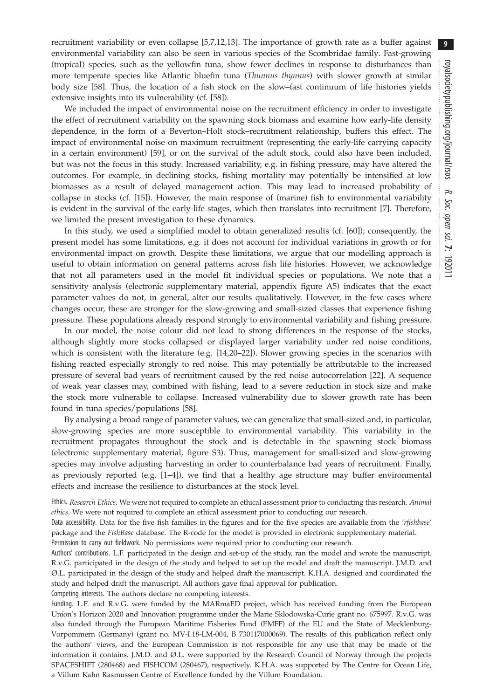recruitment variability or even collapse [[5,7,12,13](#page-10-0)]. The importance of growth rate as a buffer against environmental variability can also be seen in various species of the Scombridae family. Fast-growing (tropical) species, such as the yellowfin tuna, show fewer declines in response to disturbances than more temperate species like Atlantic bluefin tuna (Thunnus thynnus) with slower growth at similar body size [[58](#page-11-0)]. Thus, the location of a fish stock on the slow–fast continuum of life histories yields extensive insights into its vulnerability (cf. [\[58](#page-11-0)]).

We included the impact of environmental noise on the recruitment efficiency in order to investigate the effect of recruitment variability on the spawning stock biomass and examine how early-life density dependence, in the form of a Beverton–Holt stock–recruitment relationship, buffers this effect. The impact of environmental noise on maximum recruitment (representing the early-life carrying capacity in a certain environment) [[59\]](#page-11-0), or on the survival of the adult stock, could also have been included, but was not the focus in this study. Increased variability, e.g. in fishing pressure, may have altered the outcomes. For example, in declining stocks, fishing mortality may potentially be intensified at low biomasses as a result of delayed management action. This may lead to increased probability of collapse in stocks (cf. [[15\]](#page-10-0)). However, the main response of (marine) fish to environmental variability is evident in the survival of the early-life stages, which then translates into recruitment [[7](#page-10-0)]. Therefore, we limited the present investigation to these dynamics.

In this study, we used a simplified model to obtain generalized results (cf. [\[60](#page-11-0)]); consequently, the present model has some limitations, e.g. it does not account for individual variations in growth or for environmental impact on growth. Despite these limitations, we argue that our modelling approach is useful to obtain information on general patterns across fish life histories. However, we acknowledge that not all parameters used in the model fit individual species or populations. We note that a sensitivity analysis (electronic supplementary material, appendix figure A5) indicates that the exact parameter values do not, in general, alter our results qualitatively. However, in the few cases where changes occur, these are stronger for the slow-growing and small-sized classes that experience fishing pressure. These populations already respond strongly to environmental variability and fishing pressure.

In our model, the noise colour did not lead to strong differences in the response of the stocks, although slightly more stocks collapsed or displayed larger variability under red noise conditions, which is consistent with the literature (e.g. [[14,20](#page-10-0)–[22](#page-10-0)]). Slower growing species in the scenarios with fishing reacted especially strongly to red noise. This may potentially be attributable to the increased pressure of several bad years of recruitment caused by the red noise autocorrelation [[22\]](#page-10-0). A sequence of weak year classes may, combined with fishing, lead to a severe reduction in stock size and make the stock more vulnerable to collapse. Increased vulnerability due to slower growth rate has been found in tuna species/populations [[58\]](#page-11-0).

By analysing a broad range of parameter values, we can generalize that small-sized and, in particular, slow-growing species are more susceptible to environmental variability. This variability in the recruitment propagates throughout the stock and is detectable in the spawning stock biomass (electronic supplementary material, figure S3). Thus, management for small-sized and slow-growing species may involve adjusting harvesting in order to counterbalance bad years of recruitment. Finally, as previously reported (e.g. [[1](#page-10-0)–[4](#page-10-0)]), we find that a healthy age structure may buffer environmental effects and increase the resilience to disturbances at the stock level.

Ethics. Research Ethics. We were not required to complete an ethical assessment prior to conducting this research. Animal ethics. We were not required to complete an ethical assessment prior to conducting our research.

Data accessibility. Data for the five fish families in the figures and for the five species are available from the 'rfishbase' package and the FishBase database. The R-code for the model is provided in electronic supplementary material. Permission to carry out fieldwork. No permissions were required prior to conducting our research.

Authors' contributions. L.F. participated in the design and set-up of the study, ran the model and wrote the manuscript. R.v.G. participated in the design of the study and helped to set up the model and draft the manuscript. J.M.D. and Ø.L. participated in the design of the study and helped draft the manuscript. K.H.A. designed and coordinated the study and helped draft the manuscript. All authors gave final approval for publication.

Competing interests. The authors declare no competing interests.

Funding. L.F. and R.v.G. were funded by the MARmaED project, which has received funding from the European Union's Horizon 2020 and Innovation programme under the Marie Skłodowska-Curie grant no. 675997. R.v.G. was also funded through the European Maritime Fisheries Fund (EMFF) of the EU and the State of Mecklenburg-Vorpommern (Germany) (grant no. MV-I.18-LM-004, B 730117000069). The results of this publication reflect only the authors' views, and the European Commission is not responsible for any use that may be made of the information it contains. J.M.D. and Ø.L. were supported by the Research Council of Norway through the projects SPACESHIFT (280468) and FISHCOM (280467), respectively. K.H.A. was supported by The Centre for Ocean Life, a Villum Kahn Rasmussen Centre of Excellence funded by the Villum Foundation.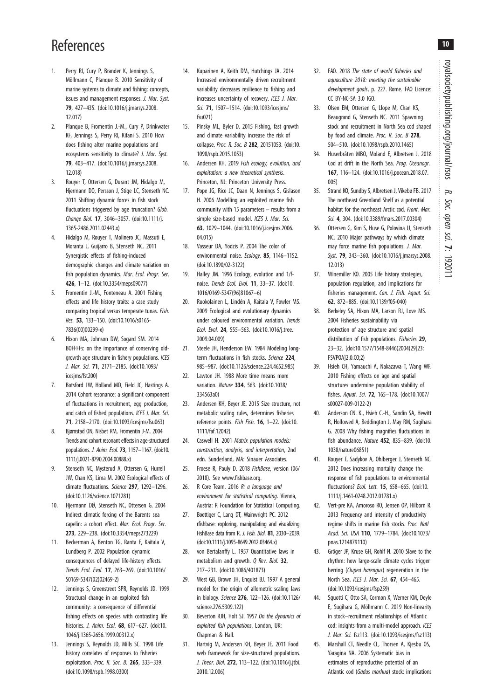# <span id="page-10-0"></span>References

- Perry RI, Cury P, Brander K, Jennings S, Möllmann C, Planque B. 2010 Sensitivity of marine systems to climate and fishing: concepts, issues and management responses. J. Mar. Syst. 79, 427–435. ([doi:10.1016/j.jmarsys.2008.](http://dx.doi.org/10.1016/j.jmarsys.2008.12.017) [12.017\)](http://dx.doi.org/10.1016/j.jmarsys.2008.12.017)
- 2. Planque B, Fromentin J.-M., Cury P, Drinkwater KF, Jennings S, Perry RI, Kifani S. 2010 How does fishing alter marine populations and ecosystems sensitivity to climate? J. Mar. Syst. 79, 403–417. ([doi:10.1016/j.jmarsys.2008.](http://dx.doi.org/10.1016/j.jmarsys.2008.12.018) [12.018\)](http://dx.doi.org/10.1016/j.jmarsys.2008.12.018)
- 3. Rouyer T, Ottersen G, Durant JM, Hidalgo M, Hjermann DO, Persson J, Stige LC, Stenseth NC. 2011 Shifting dynamic forces in fish stock fluctuations triggered by age truncation? Glob. Change Biol. 17, 3046–3057. ([doi:10.1111/j.](http://dx.doi.org/10.1111/j.1365-2486.2011.02443.x) [1365-2486.2011.02443.x\)](http://dx.doi.org/10.1111/j.1365-2486.2011.02443.x)
- 4. Hidalgo M, Rouyer T, Molinero JC, Massuti E, Moranta J, Guijarro B, Stenseth NC. 2011 Synergistic effects of fishing-induced demographic changes and climate variation on fish population dynamics. Mar. Ecol. Progr. Ser. 426, 1–12. [\(doi:10.3354/meps09077\)](http://dx.doi.org/10.3354/meps09077)
- 5. Fromentin J.-M., Fonteneau A. 2001 Fishing effects and life history traits: a case study comparing tropical versus temperate tunas. Fish. Res. 53, 133–150. [\(doi:10.1016/s0165-](http://dx.doi.org/10.1016/s0165-7836(00)00299-x) [7836\(00\)00299-x](http://dx.doi.org/10.1016/s0165-7836(00)00299-x))
- 6. Hixon MA, Johnson DW, Sogard SM. 2014 BOFFFFs: on the importance of conserving oldgrowth age structure in fishery populations. ICES J. Mar. Sci. 71, 2171–2185. ([doi:10.1093/](http://dx.doi.org/10.1093/icesjms/fst200) [icesjms/fst200](http://dx.doi.org/10.1093/icesjms/fst200))
- 7. Botsford LW, Holland MD, Field JC, Hastings A. 2014 Cohort resonance: a significant component of fluctuations in recruitment, egg production, and catch of fished populations. ICES J. Mar. Sci. 71, 2158–2170. [\(doi:10.1093/icesjms/fsu063\)](http://dx.doi.org/10.1093/icesjms/fsu063)
- 8. Bjørnstad ON, Nisbet RM, Fromentin J-M. 2004 Trends and cohort resonant effects in age-structured populations. J. Anim. Ecol. 73, 1157–1167. [\(doi:10.](http://dx.doi.org/10.1111/j.0021-8790.2004.00888.x) [1111/j.0021-8790.2004.00888.x\)](http://dx.doi.org/10.1111/j.0021-8790.2004.00888.x)
- Stenseth NC, Mysterud A, Ottersen G, Hurrell JW, Chan KS, Lima M. 2002 Ecological effects of climate fluctuations. Science 297, 1292-1296. ([doi:10.1126/science.1071281](http://dx.doi.org/10.1126/science.1071281))
- 10. Hjermann DØ, Stenseth NC, Ottersen G. 2004 Indirect climatic forcing of the Barents sea capelin: a cohort effect. Mar. Ecol. Progr. Ser. 273, 229–238. ([doi:10.3354/meps273229\)](http://dx.doi.org/10.3354/meps273229)
- 11. Beckerman A, Benton TG, Ranta E, Kaitala V, Lundberg P. 2002 Population dynamic consequences of delayed life-history effects. Trends Ecol. Evol. 17, 263–269. [\(doi:10.1016/](http://dx.doi.org/10.1016/S0169-5347(02)02469-2) [S0169-5347\(02\)02469-2\)](http://dx.doi.org/10.1016/S0169-5347(02)02469-2)
- 12. Jennings S, Greenstreet SPR, Reynolds JD. 1999 Structural change in an exploited fish community: a consequence of differential fishing effects on species with contrasting life histories. *J. Anim. Ecol.* **68**, 617-627. ([doi:10.](http://dx.doi.org/10.1046/j.1365-2656.1999.00312.x) [1046/j.1365-2656.1999.00312.x\)](http://dx.doi.org/10.1046/j.1365-2656.1999.00312.x)
- 13. Jennings S, Reynolds JD, Mills SC. 1998 Life history correlates of responses to fisheries exploitation. Proc. R. Soc. B. 265, 333-339. ([doi:10.1098/rspb.1998.0300](http://dx.doi.org/10.1098/rspb.1998.0300))
- 14. Kuparinen A, Keith DM, Hutchings JA. 2014 Increased environmentally driven recruitment variability decreases resilience to fishing and increases uncertainty of recovery. ICES J. Mar. Sci. 71, 1507–1514. ([doi:10.1093/icesjms/](http://dx.doi.org/10.1093/icesjms/fsu021) [fsu021\)](http://dx.doi.org/10.1093/icesjms/fsu021)
- 15. Pinsky ML, Byler D. 2015 Fishing, fast growth and climate variability increase the risk of collapse. Proc. R. Soc. B 282, 20151053. [\(doi:10.](http://dx.doi.org/10.1098/rspb.2015.1053) [1098/rspb.2015.1053](http://dx.doi.org/10.1098/rspb.2015.1053))
- 16. Andersen KH. 2019 Fish ecology, evolution, and exploitation: a new theoretical synthesis. Princeton, NJ: Princeton University Press.
- 17. Pope JG, Rice JC, Daan N, Jennings S, Gislason H. 2006 Modelling an exploited marine fish community with 15 parameters – results from a simple size-based model. ICES J. Mar. Sci. 63, 1029–1044. [\(doi:10.1016/j.icesjms.2006.](http://dx.doi.org/10.1016/j.icesjms.2006.04.015) [04.015](http://dx.doi.org/10.1016/j.icesjms.2006.04.015))
- 18. Vasseur DA, Yodzis P. 2004 The color of environmental noise. Ecology. 85, 1146-1152. ([doi:10.1890/02-3122](http://dx.doi.org/10.1890/02-3122))
- 19. Halley JM. 1996 Ecology, evolution and 1/fnoise. Trends Ecol. Evol. 11, 33–37. [\(doi:10.](http://dx.doi.org/10.1016/0169-5347(96)81067–6) [1016/0169-5347\(96\)81067](http://dx.doi.org/10.1016/0169-5347(96)81067–6)–6)
- 20. Ruokolainen L, Lindén A, Kaitala V, Fowler MS. 2009 Ecological and evolutionary dynamics under coloured environmental variation. Trends Ecol. Evol. 24, 555–563. ([doi:10.1016/j.tree.](http://dx.doi.org/10.1016/j.tree.2009.04.009) [2009.04.009\)](http://dx.doi.org/10.1016/j.tree.2009.04.009)
- 21. Steele JH, Henderson EW. 1984 Modeling longterm fluctuations in fish stocks. Science 224, 985–987. [\(doi:10.1126/science.224.4652.985\)](http://dx.doi.org/10.1126/science.224.4652.985)
- 22. Lawton JH. 1988 More time means more variation. Nature 334, 563. ([doi:10.1038/](http://dx.doi.org/10.1038/334563a0) [334563a0](http://dx.doi.org/10.1038/334563a0))
- 23. Andersen KH, Beyer JE. 2015 Size structure, not metabolic scaling rules, determines fisheries reference points. Fish Fish. 16, 1–22. [\(doi:10.](http://dx.doi.org/10.1111/faf.12042) [1111/faf.12042](http://dx.doi.org/10.1111/faf.12042))
- 24. Caswell H. 2001 Matrix population models: construction, analysis, and interpretation, 2nd edn. Sunderland, MA: Sinauer Associates.
- 25. Froese R, Pauly D. 2018 FishBase, version (06/ 2018). See [www.fishbase.org.](http://www.fishbase.org)
- 26. R Core Team. 2016 R: a language and environment for statistical computing. Vienna, Austria: R Foundation for Statistical Computing.
- 27. Boettiger C, Lang DT, Wainwright PC. 2012 rfishbase: exploring, manipulating and visualizing FishBase data from R. J. Fish. Biol. 81, 2030–2039. ([doi:10.1111/j.1095-8649.2012.03464.x\)](http://dx.doi.org/10.1111/j.1095-8649.2012.03464.x)
- 28. von Bertalanffy L. 1957 Quantitative laws in metabolism and growth. Q Rev. Biol. 32, 217–231. [\(doi:10.1086/401873](http://dx.doi.org/10.1086/401873))
- 29. West GB, Brown JH, Enquist BJ. 1997 A general model for the origin of allometric scaling laws in biology. Science 276, 122–126. ([doi:10.1126/](http://dx.doi.org/10.1126/science.276.5309.122) [science.276.5309.122](http://dx.doi.org/10.1126/science.276.5309.122))
- 30. Beverton RJH, Holt SJ. 1957 On the dynamics of exploited fish populations. London, UK: Chapman & Hall.
- 31. Hartvig M, Andersen KH, Beyer JE. 2011 Food web framework for size-structured populations. J. Theor. Biol. 272, 113–122. [\(doi:10.1016/j.jtbi.](http://dx.doi.org/10.1016/j.jtbi.2010.12.006) [2010.12.006\)](http://dx.doi.org/10.1016/j.jtbi.2010.12.006)
- 32. FAO. 2018 The state of world fisheries and aquaculture 2018: meeting the sustainable development goals, p. 227. Rome. FAO Licence: CC BY-NC-SA 3.0 IGO.
- 33. Olsen EM, Ottersen G, Llope M, Chan KS, Beaugrand G, Stenseth NC. 2011 Spawning stock and recruitment in North Sea cod shaped by food and climate. Proc. R. Soc. B 278, 504–510. ([doi:10.1098/rspb.2010.1465](http://dx.doi.org/10.1098/rspb.2010.1465))
- 34. Huserbråten MBO, Moland E, Albretsen J. 2018 Cod at drift in the North Sea. Prog. Oceanogr. 167, 116–124. [\(doi:10.1016/j.pocean.2018.07.](http://dx.doi.org/10.1016/j.pocean.2018.07.005) [005\)](http://dx.doi.org/10.1016/j.pocean.2018.07.005)
- 35. Strand KO, Sundby S, Albretsen J, Vikebø FB. 2017 The northeast Greenland Shelf as a potential habitat for the northeast Arctic cod. Front. Mar. Sci. 4, 304. [\(doi:10.3389/fmars.2017.00304](http://dx.doi.org/10.3389/fmars.2017.00304))
- 36. Ottersen G, Kim S, Huse G, Polovina JJ, Stenseth NC. 2010 Major pathways by which climate may force marine fish populations. J. Mar. Syst. 79, 343–360. ([doi:10.1016/j.jmarsys.2008.](http://dx.doi.org/10.1016/j.jmarsys.2008.12.013) [12.013](http://dx.doi.org/10.1016/j.jmarsys.2008.12.013))
- 37. Winemiller KO. 2005 Life history strategies, population regulation, and implications for fisheries management. Can. J. Fish. Aquat. Sci. 62, 872–885. [\(doi:10.1139/f05-040\)](http://dx.doi.org/10.1139/f05-040)
- 38. Berkeley SA, Hixon MA, Larson RJ, Love MS. 2004 Fisheries sustainability via protection of age structure and spatial distribution of fish populations. Fisheries 29, 23–32. [\(doi:10.1577/1548-8446\(2004\)29\[23:](http://dx.doi.org/10.1577/1548-8446(2004)29[23:FSVPOA]2.0.CO;2) [FSVPOA\]2.0.CO;2](http://dx.doi.org/10.1577/1548-8446(2004)29[23:FSVPOA]2.0.CO;2))
- 39. Hsieh CH, Yamauchi A, Nakazawa T, Wang WF. 2010 Fishing effects on age and spatial structures undermine population stability of fishes. Aquat. Sci. 72, 165–178. ([doi:10.1007/](http://dx.doi.org/10.1007/s00027-009-0122-2) [s00027-009-0122-2](http://dx.doi.org/10.1007/s00027-009-0122-2))
- 40. Anderson CN. K., Hsieh C.-H., Sandin SA, Hewitt R, Hollowed A, Beddington J, May RM, Sugihara G. 2008 Why fishing magnifies fluctuations in fish abundance. Nature 452, 835–839. ([doi:10.](http://dx.doi.org/10.1038/nature06851) [1038/nature06851\)](http://dx.doi.org/10.1038/nature06851)
- 41. Rouyer T, Sadykov A, Ohlberger J, Stenseth NC. 2012 Does increasing mortality change the response of fish populations to environmental fluctuations? Ecol. Lett. 15, 658–665. ([doi:10.](http://dx.doi.org/10.1111/j.1461-0248.2012.01781.x) [1111/j.1461-0248.2012.01781.x](http://dx.doi.org/10.1111/j.1461-0248.2012.01781.x))
- 42. Vert-pre KA, Amoroso RO, Jensen OP, Hilborn R. 2013 Frequency and intensity of productivity regime shifts in marine fish stocks. Proc. Natl Acad. Sci. USA 110, 1779–1784. ([doi:10.1073/](http://dx.doi.org/10.1073/pnas.1214879110) [pnas.1214879110\)](http://dx.doi.org/10.1073/pnas.1214879110)
- 43. Gröger JP, Kruse GH, Rohlf N. 2010 Slave to the rhythm: how large-scale climate cycles trigger herring (Clupea harengus) regeneration in the North Sea. ICES J. Mar. Sci. **67**, 454-465. [\(doi:10.1093/icesjms/fsp259\)](http://dx.doi.org/10.1093/icesjms/fsp259)
- 44. Sguotti C, Otto SA, Cormon X, Werner KM, Deyle E, Sugihara G, Möllmann C. 2019 Non-linearity in stock–recruitment relationships of Atlantic cod: insights from a multi-model approach. ICES J. Mar. Sci. fsz113. ([doi:10.1093/icesjms/fsz113\)](http://dx.doi.org/10.1093/icesjms/fsz113)
- 45. Marshall CT, Needle CL, Thorsen A, Kjesbu OS, Yaragina NA. 2006 Systematic bias in estimates of reproductive potential of an Atlantic cod (Gadus morhua) stock: implications